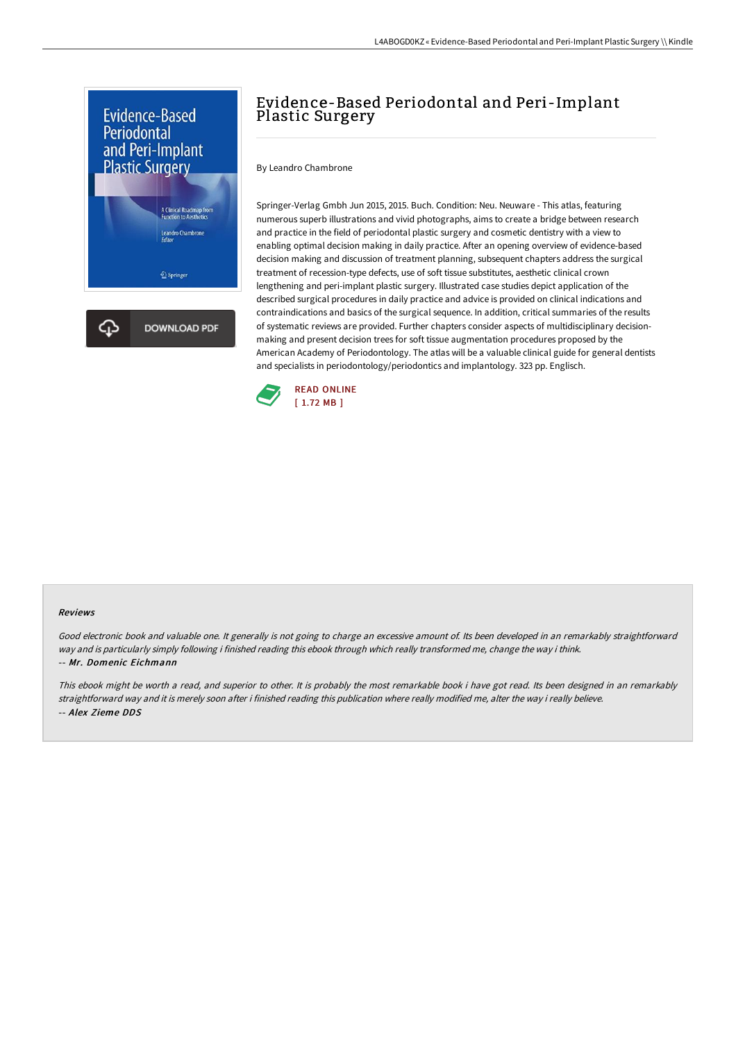

## Evidence-Based Periodontal and Peri-Implant Plastic Surgery

By Leandro Chambrone

Springer-Verlag Gmbh Jun 2015, 2015. Buch. Condition: Neu. Neuware - This atlas, featuring numerous superb illustrations and vivid photographs, aims to create a bridge between research and practice in the field of periodontal plastic surgery and cosmetic dentistry with a view to enabling optimal decision making in daily practice. After an opening overview of evidence-based decision making and discussion of treatment planning, subsequent chapters address the surgical treatment of recession-type defects, use of soft tissue substitutes, aesthetic clinical crown lengthening and peri-implant plastic surgery. Illustrated case studies depict application of the described surgical procedures in daily practice and advice is provided on clinical indications and contraindications and basics of the surgical sequence. In addition, critical summaries of the results of systematic reviews are provided. Further chapters consider aspects of multidisciplinary decisionmaking and present decision trees for soft tissue augmentation procedures proposed by the American Academy of Periodontology. The atlas will be a valuable clinical guide for general dentists and specialists in periodontology/periodontics and implantology. 323 pp. Englisch.



## Reviews

Good electronic book and valuable one. It generally is not going to charge an excessive amount of. Its been developed in an remarkably straightforward way and is particularly simply following i finished reading this ebook through which really transformed me, change the way i think. -- Mr. Domenic Eichmann

This ebook might be worth <sup>a</sup> read, and superior to other. It is probably the most remarkable book i have got read. Its been designed in an remarkably straightforward way and it is merely soon after i finished reading this publication where really modified me, alter the way i really believe. -- Alex Zieme DDS